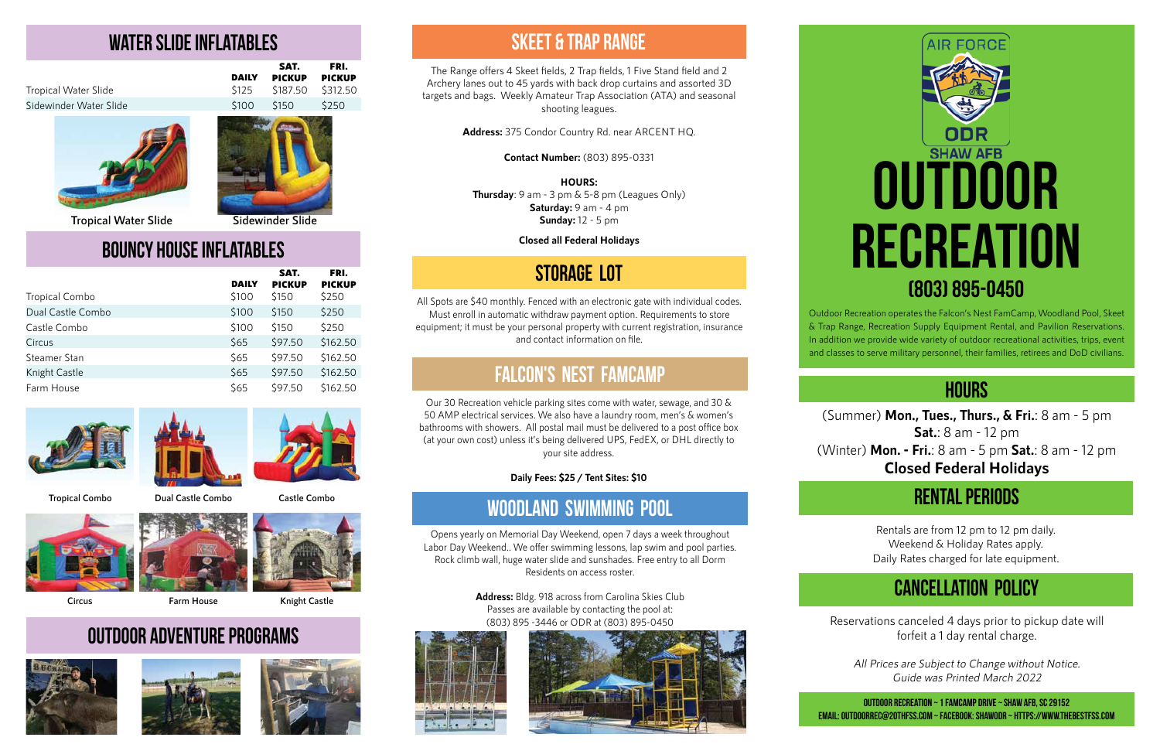

Outdoor Recreation operates the Falcon's Nest FamCamp, Woodland Pool, Skeet & Trap Range, Recreation Supply Equipment Rental, and Pavilion Reservations. In addition we provide wide variety of outdoor recreational activities, trips, event and classes to serve military personnel, their families, retirees and DoD civilians.

#### **hours**

(Summer) **Mon., Tues., Thurs., & Fri.**: 8 am - 5 pm **Sat.**: 8 am - 12 pm (Winter) **Mon. - Fri.**: 8 am - 5 pm **Sat.**: 8 am - 12 pm **Closed Federal Holidays**

## **Rental periods**

Rentals are from 12 pm to 12 pm daily. Weekend & Holiday Rates apply. Daily Rates charged for late equipment.

# **Cancellation policy**

Reservations canceled 4 days prior to pickup date will forfeit a 1 day rental charge.

All Prices are Subject to Change without Notice. Guide was Printed March 2022

**Outdoor Recreation ~ 1 Famcamp Drive ~ Shaw AFB, SC 29152 Email: outdoorrec@20thfss.com ~ FaceBook: ShawODR ~ https://www.thebestfss.com**

The Range offers 4 Skeet fields, 2 Trap fields, 1 Five Stand field and 2 Archery lanes out to 45 yards with back drop curtains and assorted 3D targets and bags. Weekly Amateur Trap Association (ATA) and seasonal shooting leagues.

**Address:** 375 Condor Country Rd. near ARCENT HQ.

**Contact Number:** (803) 895-0331

**HOURS:**

**Thursday**: 9 am - 3 pm & 5-8 pm (Leagues Only) **Saturday:** 9 am - 4 pm **Sunday:** 12 - 5 pm

**Closed all Federal Holidays**

### **Skeet & trap range**

Our 30 Recreation vehicle parking sites come with water, sewage, and 30 & 50 AMP electrical services. We also have a laundry room, men's & women's bathrooms with showers. All postal mail must be delivered to a post office box (at your own cost) unless it's being delivered UPS, FedEX, or DHL directly to your site address.

**Daily Fees: \$25 / Tent Sites: \$10**

### **Falcon's nest Famcamp**

Opens yearly on Memorial Day Weekend, open 7 days a week throughout Labor Day Weekend.. We offer swimming lessons, lap swim and pool parties. Rock climb wall, huge water slide and sunshades. Free entry to all Dorm Residents on access roster.

> **Address:** Bldg. 918 across from Carolina Skies Club Passes are available by contacting the pool at: (803) 895 -3446 or ODR at (803) 895-0450





# **Woodland swimming pool**

All Spots are \$40 monthly. Fenced with an electronic gate with individual codes. Must enroll in automatic withdraw payment option. Requirements to store equipment; it must be your personal property with current registration, insurance and contact information on file.

## **Storage lot**

## **water slide inflatables**

|                        |              | SAT.          | FRI.          |
|------------------------|--------------|---------------|---------------|
|                        | <b>DAILY</b> | <b>PICKUP</b> | <b>PICKUP</b> |
| Tropical Water Slide   |              |               |               |
| Sidewinder Water Slide | <b>S100</b>  | S150          | S250          |
|                        |              |               |               |





## **Bouncy house inflatables**

|                       | <b>DAILY</b> | SAT.<br><b>PICKUP</b> | FRI.<br><b>PICKUP</b> |
|-----------------------|--------------|-----------------------|-----------------------|
| <b>Tropical Combo</b> | \$100        | \$150                 | \$250                 |
| Dual Castle Combo     | \$100        | \$150                 | \$250                 |
| Castle Combo          | \$100        | \$150                 | \$250                 |
| Circus                | \$65         | \$97.50               | \$162.50              |
| Steamer Stan          | \$65         | \$97.50               | \$162.50              |
| Knight Castle         | \$65         | \$97.50               | \$162.50              |
| Farm House            | \$65         | \$97.50               | \$162.50              |







**Tropical Combo**

**Circus**

**Dual Castle Combo**





**Tropical Water Slide Sidewinder Slide**





**Knight Castle**

# **Outdoor Adventure Programs**